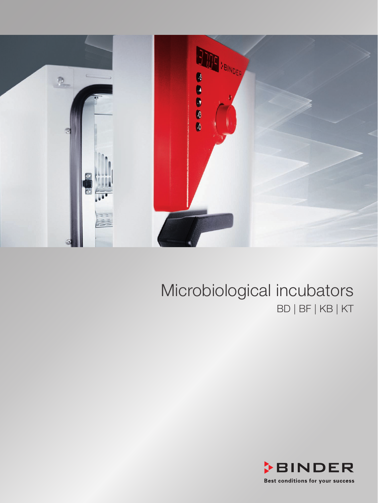

### Microbiological incubators BD | BF | KB | KT

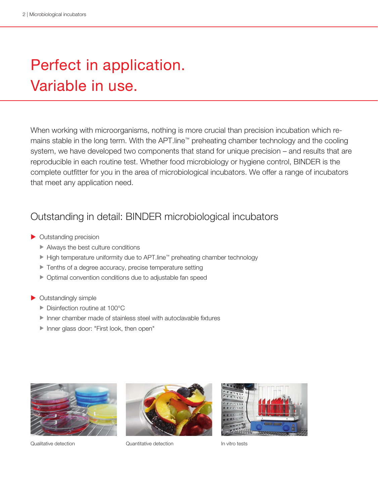# Perfect in application. Variable in use.

When working with microorganisms, nothing is more crucial than precision incubation which remains stable in the long term. With the APT.line™ preheating chamber technology and the cooling system, we have developed two components that stand for unique precision – and results that are reproducible in each routine test. Whether food microbiology or hygiene control, BINDER is the complete outfitter for you in the area of microbiological incubators. We offer a range of incubators that meet any application need.

### Outstanding in detail: BINDER microbiological incubators

- $\triangleright$  Outstanding precision
	- $\blacktriangleright$  Always the best culture conditions
	- ► High temperature uniformity due to APT.line™ preheating chamber technology
	- $\blacktriangleright$  Tenths of a degree accuracy, precise temperature setting
	- $\triangleright$  Optimal convention conditions due to adjustable fan speed
- $\blacktriangleright$  Outstandingly simple
	- $\blacktriangleright$  Disinfection routine at 100 $^{\circ}$ C
	- $\blacktriangleright$  Inner chamber made of stainless steel with autoclavable fixtures
	- Inner glass door: "First look, then open"





Qualitative detection Quantitative detection In vitro tests

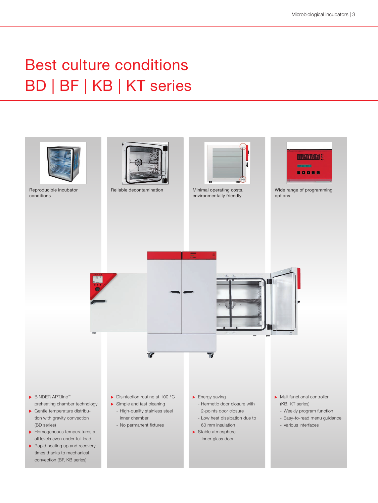## Best culture conditions BD | BF | KB | KT series

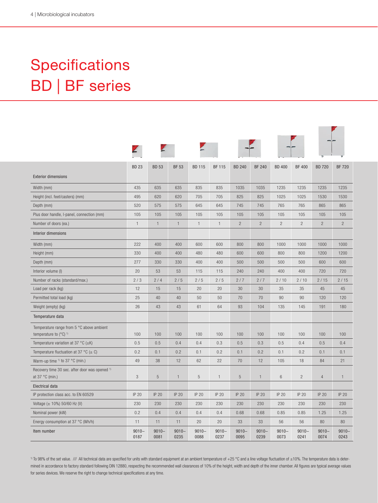## Specifications BD | BF series

|                                                                               | <b>BD 23</b>     | <b>BD 53</b>     | <b>BF 53</b>     | <b>BD 115</b>    | <b>BF 115</b>    | <b>BD 240</b>    | <b>BF 240</b>    | <b>BD 400</b>    | <b>BF 400</b>    | <b>BD 720</b>    | <b>BF 720</b>    |
|-------------------------------------------------------------------------------|------------------|------------------|------------------|------------------|------------------|------------------|------------------|------------------|------------------|------------------|------------------|
| <b>Exterior dimensions</b>                                                    |                  |                  |                  |                  |                  |                  |                  |                  |                  |                  |                  |
| Width (mm)                                                                    | 435              | 635              | 635              | 835              | 835              | 1035             | 1035             | 1235             | 1235             | 1235             | 1235             |
| Height (incl. feet/casters) (mm)                                              | 495              | 620              | 620              | 705              | 705              | 825              | 825              | 1025             | 1025             | 1530             | 1530             |
| Depth (mm)                                                                    | 520              | 575              | 575              | 645              | 645              | 745              | 745              | 765              | 765              | 865              | 865              |
| Plus door handle, I-panel, connection (mm)                                    | 105              | 105              | 105              | 105              | 105              | 105              | 105              | 105              | 105              | 105              | 105              |
| Number of doors (ea.)                                                         | $\mathbf{1}$     | $\mathbf{1}$     | $\mathbf{1}$     | $\mathbf{1}$     | $\mathbf{1}$     | $\overline{c}$   | $\overline{c}$   | $\overline{2}$   | $\overline{c}$   | $\overline{c}$   | $\overline{c}$   |
| Interior dimensions                                                           |                  |                  |                  |                  |                  |                  |                  |                  |                  |                  |                  |
| Width (mm)                                                                    | 222              | 400              | 400              | 600              | 600              | 800              | 800              | 1000             | 1000             | 1000             | 1000             |
| Height (mm)                                                                   | 330              | 400              | 400              | 480              | 480              | 600              | 600              | 800              | 800              | 1200             | 1200             |
| Depth (mm)                                                                    | 277              | 330              | 330              | 400              | 400              | 500              | 500              | 500              | 500              | 600              | 600              |
| Interior volume (I)                                                           | 20               | 53               | 53               | 115              | 115              | 240              | 240              | 400              | 400              | 720              | 720              |
| Number of racks (standard/max.)                                               | 2/3              | 2/4              | 2/5              | 2/5              | 2/5              | 2/7              | 2/7              | 2/10             | 2/10             | 2/15             | 2/15             |
| Load per rack (kg)                                                            | 12               | 15               | 15               | 20               | 20               | 30               | 30               | 35               | 35               | 45               | 45               |
| Permitted total load (kg)                                                     | 25               | 40               | 40               | 50               | 50               | 70               | 70               | 90               | 90               | 120              | 120              |
| Weight (empty) (kg)                                                           | 26               | 43               | 43               | 61               | 64               | 93               | 104              | 135              | 145              | 191              | 180              |
| Temperature data                                                              |                  |                  |                  |                  |                  |                  |                  |                  |                  |                  |                  |
| Temperature range from 5 °C above ambient<br>temperature to $(^{\circ}C)^{1}$ | 100              | 100              | 100              | 100              | 100              | 100              | 100              | 100              | 100              | 100              | 100              |
| Temperature variation at 37 °C ( $\pm$ K)                                     | 0.5              | 0.5              | 0.4              | 0.4              | 0.3              | 0.5              | 0.3              | 0.5              | 0.4              | 0.5              | 0.4              |
| Temperature fluctuation at 37 °C ( $\pm$ C)                                   | 0.2              | 0.1              | 0.2              | 0.1              | 0.2              | 0.1              | 0.2              | 0.1              | 0.2              | 0.1              | 0.1              |
| Warm-up time $\frac{1}{1}$ to 37 °C (min.)                                    | 49               | 38               | 12               | 62               | 22               | 70               | 12               | 105              | 18               | 84               | 21               |
| Recovery time 30 sec. after door was opened 1)<br>at 37 °C (min.)             | 3                | 5                | $\mathbf{1}$     | 5                | $\mathbf{1}$     | 5                | $\mathbf{1}$     | 6                | $\overline{c}$   | $\overline{4}$   | $\mathbf{1}$     |
| <b>Electrical data</b>                                                        |                  |                  |                  |                  |                  |                  |                  |                  |                  |                  |                  |
| IP protection class acc. to EN 60529                                          | IP 20            | <b>IP 20</b>     | IP 20            | <b>IP 20</b>     | <b>IP 20</b>     | IP 20            | <b>IP 20</b>     | IP 20            | IP 20            | IP 20            | IP 20            |
| Voltage $(\pm 10\%)$ 50/60 Hz (V)                                             | 230              | 230              | 230              | 230              | 230              | 230              | 230              | 230              | 230              | 230              | 230              |
| Nominal power (kW)                                                            | 0.2              | 0.4              | 0.4              | 0.4              | 0.4              | 0.68             | 0.68             | 0.85             | 0.85             | 1.25             | 1.25             |
| Energy consumption at 37 °C (Wh/h)                                            | 11               | 11               | 11               | 20               | 20               | 33               | 33               | 56               | 56               | 80               | 80               |
| Item number                                                                   | $9010 -$<br>0187 | $9010 -$<br>0081 | $9010 -$<br>0235 | $9010 -$<br>0088 | $9010 -$<br>0237 | $9010 -$<br>0095 | $9010 -$<br>0239 | $9010 -$<br>0073 | $9010 -$<br>0241 | $9010 -$<br>0074 | $9010 -$<br>0243 |

 $11$  To 98% of the set value. /// All technical data are specified for units with standard equipment at an ambient temperature of +25 °C and a line voltage fluctuation of ±10%. The temperature data is determined in accordance to factory standard following DIN 12880, respecting the recommended wall clearances of 10% of the height, width and depth of the inner chamber. All figures are typical average values for series devices. We reserve the right to change technical specifications at any time.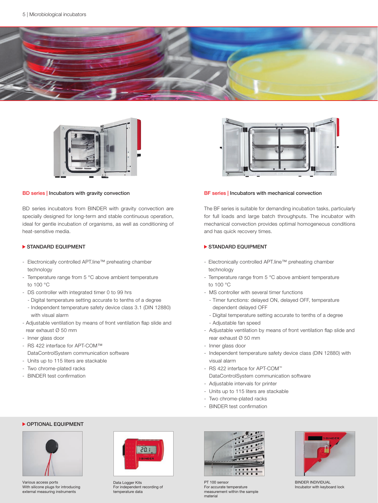



#### BD series | Incubators with gravity convection

BD series incubators from BINDER with gravity convection are specially designed for long-term and stable continuous operation, ideal for gentle incubation of organisms, as well as conditioning of heat-sensitive media.

#### STANDARD EQUIPMENT

- Electronically controlled APT.line™ preheating chamber technology
- Temperature range from 5 °C above ambient temperature to 100 °C
- DS controller with integrated timer 0 to 99 hrs
	- Digital temperature setting accurate to tenths of a degree
	- Independent temperature safety device class 3.1 (DIN 12880) with visual alarm
- Adjustable ventilation by means of front ventilation flap slide and rear exhaust Ø 50 mm
- Inner glass door
- RS 422 interface for APT-COM™ DataControlSystem communication software
- Units up to 115 liters are stackable
- Two chrome-plated racks
- BINDER test confirmation



#### BF series | Incubators with mechanical convection

The BF series is suitable for demanding incubation tasks, particularly for full loads and large batch throughputs. The incubator with mechanical convection provides optimal homogeneous conditions and has quick recovery times.

#### STANDARD EQUIPMENT

- Electronically controlled APT.line™ preheating chamber technology
- Temperature range from 5 °C above ambient temperature to 100 °C
- MS controller with several timer functions
	- Timer functions: delayed ON, delayed OFF, temperature dependent delayed OFF
	- Digital temperature setting accurate to tenths of a degree
- Adjustable fan speed
- Adjustable ventilation by means of front ventilation flap slide and rear exhaust Ø 50 mm
- Inner glass door
- Independent temperature safety device class (DIN 12880) with visual alarm
- RS 422 interface for APT-COM™ DataControlSystem communication software
- Adjustable intervals for printer
- Units up to 115 liters are stackable
- Two chrome-plated racks
- BINDER test confirmation



**OPTIONAL EQUIPMENT** 

Various access ports With silicone plugs for introducing external measuring instruments



Data Logger Kits For independent recording of temperature data



PT 100 senso For accurate temperature measurement within the sample material



BINDER INDIVIDUAL Incubator with keyboard lock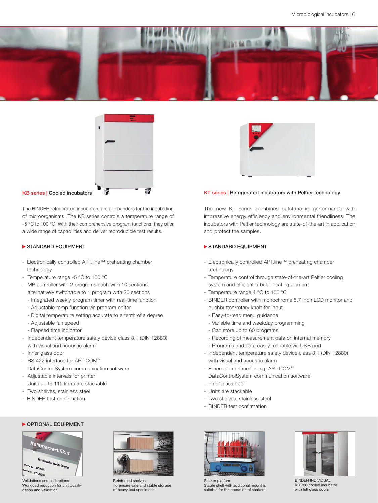



The BINDER refrigerated incubators are all-rounders for the incubation of microorganisms. The KB series controls a temperature range of -5 °C to 100 °C. With their comprehensive program functions, they offer a wide range of capabilities and deliver reproducible test results.

#### STANDARD EQUIPMENT

- Electronically controlled APT.line™ preheating chamber technology
- Temperature range -5 °C to 100 °C
- MP controller with 2 programs each with 10 sections, alternatively switchable to 1 program with 20 sections
	- Integrated weekly program timer with real-time function
	- Adjustable ramp function via program editor
	- Digital temperature setting accurate to a tenth of a degree
	- Adjustable fan speed
	- Elapsed time indicator
- Independent temperature safety device class 3.1 (DIN 12880) with visual and acoustic alarm
- Inner glass door
- RS 422 interface for APT-COM™ DataControlSystem communication software
- Adjustable intervals for printer
- Units up to 115 liters are stackable
- Two shelves, stainless steel
- BINDER test confirmation



#### KT series | Refrigerated incubators with Peltier technology

The new KT series combines outstanding performance with impressive energy efficiency and environmental friendliness. The incubators with Peltier technology are state-of-the-art in application and protect the samples.

#### STANDARD EQUIPMENT

- Electronically controlled APT.line™ preheating chamber technology
- Temperature control through state-of-the-art Peltier cooling system and efficient tubular heating element
- Temperature range 4 °C to 100 °C
- BINDER controller with monochrome 5.7 inch LCD monitor and pushbutton/rotary knob for input
	- Easy-to-read menu guidance
	- Variable time and weekday programming
	- Can store up to 60 programs
	- Recording of measurement data on internal memory - Programs and data easily readable via USB port
- Independent temperature safety device class 3.1 (DIN 12880) with visual and acoustic alarm
- Ethernet interface for e.g. APT-COM™
- DataControlSystem communication software
- Inner glass door
- Units are stackable
- Two shelves, stainless steel
- BINDER test confirmation





Validations and calibrations Workload reduction for unit qualification and validation



Reinforced shelves To ensure safe and stable storage of heavy test specimens.



Shaker platform Stable shelf with additional mount is suitable for the operation of shakers.



BINDER INDIVIDUAL KB 720 cooled incubator with full glass doors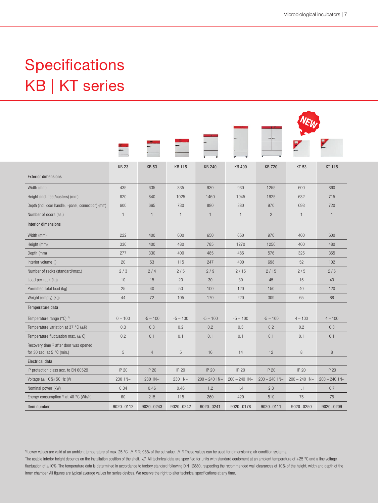## Specifications KB | KT series

|                                                                                           | <b>KB 23</b> | <b>KB 53</b>   | <b>KB 115</b> | <b>KB 240</b>   | <b>KB 400</b>   | <b>KB 720</b>   | <b>KT 53</b>    | <b>KT 115</b>   |  |  |
|-------------------------------------------------------------------------------------------|--------------|----------------|---------------|-----------------|-----------------|-----------------|-----------------|-----------------|--|--|
| <b>Exterior dimensions</b>                                                                |              |                |               |                 |                 |                 |                 |                 |  |  |
| Width (mm)                                                                                | 435          | 635            | 835           | 930             | 930             | 1255            | 600             | 860             |  |  |
| Height (incl. feet/casters) (mm)                                                          | 620          | 840            | 1025          | 1460            | 1945            | 1925            | 632             | 715             |  |  |
| Depth (incl. door handle, I-panel, connection) (mm)                                       | 600          | 665            | 730           | 880             | 880             | 970             | 693             | 720             |  |  |
| Number of doors (ea.)                                                                     | $\mathbf{1}$ | $\mathbf{1}$   | $\mathbf{1}$  | $\mathbf{1}$    | $\mathbf{1}$    | $\overline{c}$  | $\mathbf{1}$    | $\mathbf{1}$    |  |  |
| Interior dimensions                                                                       |              |                |               |                 |                 |                 |                 |                 |  |  |
| Width (mm)                                                                                | 222          | 400            | 600           | 650             | 650             | 970             | 400             | 600             |  |  |
| Height (mm)                                                                               | 330          | 400            | 480           | 785             | 1270            | 1250            | 400             | 480             |  |  |
| Depth (mm)                                                                                | 277          | 330            | 400           | 485             | 485             | 576             | 325             | 355             |  |  |
| Interior volume (I)                                                                       | 20           | 53             | 115           | 247             | 400             | 698             | 52              | 102             |  |  |
| Number of racks (standard/max.)                                                           | 2/3          | 2/4            | 2/5           | 2/9             | 2/15            | 2/15            | 2/5             | 2/6             |  |  |
| Load per rack (kg)                                                                        | 10           | 15             | 20            | 30              | 30              | 45              | 15              | 40              |  |  |
| Permitted total load (kg)                                                                 | 25           | 40             | 50            | 100             | 120             | 150             | 40              | 120             |  |  |
| Weight (empty) (kg)                                                                       | 44           | 72             | 105           | 170             | 220             | 309             | 65              | 88              |  |  |
| Temperature data                                                                          |              |                |               |                 |                 |                 |                 |                 |  |  |
| Temperature range $(^{\circ}C)^{1}$                                                       | $0 - 100$    | $-5 - 100$     | $-5 - 100$    | $-5 - 100$      | $-5 - 100$      | $-5 - 100$      | $4 - 100$       | $4 - 100$       |  |  |
| Temperature variation at 37 °C ( $\pm$ K)                                                 | 0.3          | 0.3            | 0.2           | 0.2             | 0.3             | 0.2             | 0.2             | 0.3             |  |  |
| Temperature fluctuation max. $(\pm C)$                                                    | 0.2          | 0.1            | 0.1           | 0.1             | 0.1             | 0.1             | 0.1             | 0.1             |  |  |
| Recovery time <sup>2)</sup> after door was opened<br>for 30 sec. at 5 $^{\circ}$ C (min.) | 5            | $\overline{4}$ | 5             | 16              | 14              | 12              | $\,8\,$         | 8               |  |  |
| <b>Electrical data</b>                                                                    |              |                |               |                 |                 |                 |                 |                 |  |  |
| IP protection class acc. to EN 60529                                                      | IP 20        | IP 20          | IP 20         | <b>IP 20</b>    | IP 20           | IP 20           | IP 20           | IP 20           |  |  |
| Voltage $(\pm 10\%)$ 50 Hz (V)                                                            | 230 1N~      | 230 1N~        | 230 1N~       | $200 - 240$ 1N~ | $200 - 240$ 1N~ | $200 - 240$ 1N~ | $200 - 240$ 1N~ | $200 - 240$ 1N~ |  |  |
| Nominal power (kW)                                                                        | 0.34         | 0.46           | 0.46          | 1.2             | 1.4             | 2.3             | 1.1             | 0.7             |  |  |
| Energy consumption 3) at 40 °C (Wh/h)                                                     | 60           | 215            | 115           | 260             | 420             | 510             | 75              | 75              |  |  |
| Item number                                                                               | 9020-0112    | 9020-0243      | 9020-0242     | 9020-0241       | 9020-0178       | 9020-0111       | 9020-0250       | 9020-0209       |  |  |

 $10$  Lower values are valid at an ambient temperature of max. 25 °C.  $N = 3$  To 98% of the set value.  $N = 3$  These values can be used for dimensioning air condition systems.

The usable interior height depends on the installation position of the shelf. /// All technical data are specified for units with standard equipment at an ambient temperature of +25 °C and a line voltage fluctuation of ±10%. The temperature data is determined in accordance to factory standard following DIN 12880, respecting the recommended wall clearances of 10% of the height, width and depth of the inner chamber. All figures are typical average values for series devices. We reserve the right to alter technical specifications at any time.